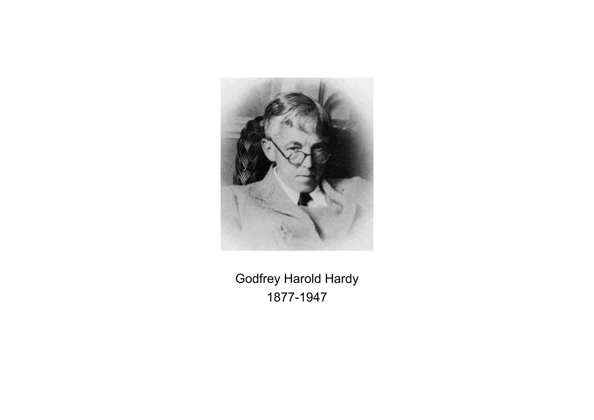

Godfrey Harold Hardy 1877-1947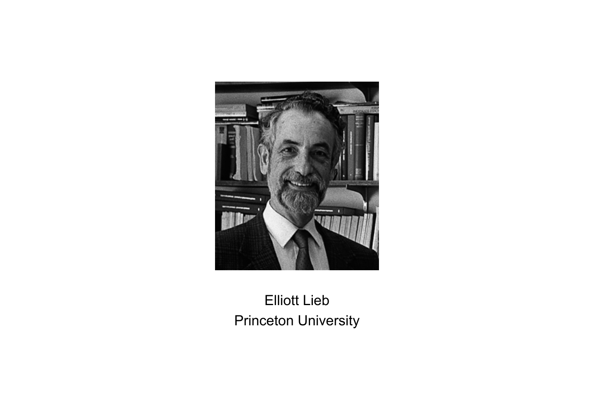

# Elliott Lieb Princeton University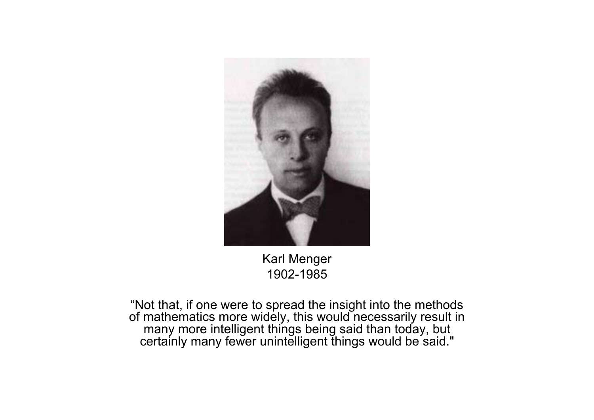

Karl Menger 1902-1985

"Not that, if one were to spread the insight into the methods of mathematics more widely, this would necessarily result in many more intelligent things being said than today, but certainly many fewer unintelligent things would be said."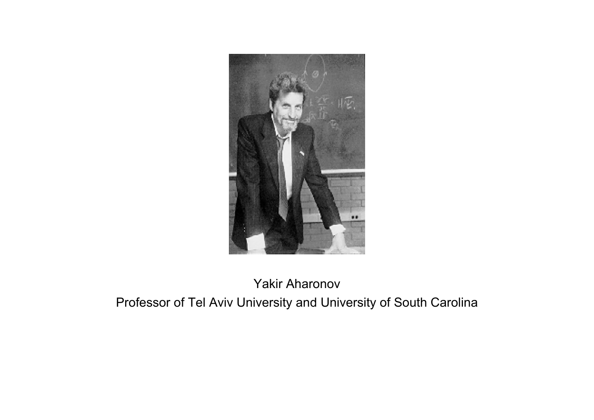

#### Yakir Aharonov

Professor of Tel Aviv University and University of South Carolina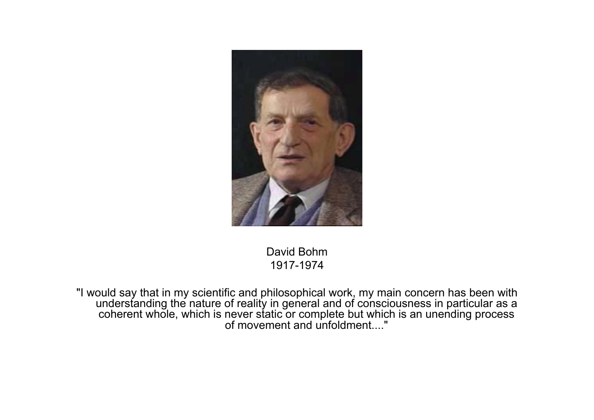

David Bohm1917-1974

"I would say that in my scientific and philosophical work, my main concern has been with understanding the nature of reality in general and of consciousness in particular as a coherent whole, which is never static or complete but which is an unending process of movement and unfoldment...."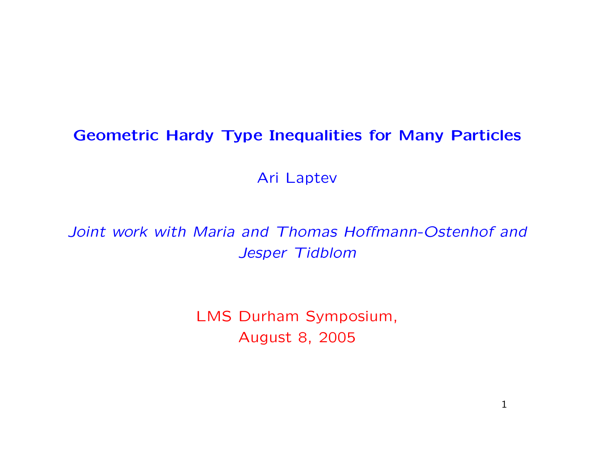## Geometric Hardy Type Inequalities for Many Particles

Ari Laptev

Joint work with Maria and Thomas Hoffmann-Ostenhof and Jesper Tidblom

> LMS Durham Symposium, August 8, 2005

> > 1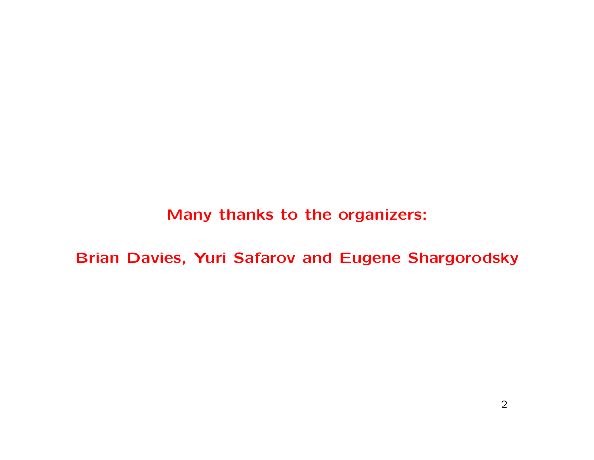Many thanks to the organizers:

Brian Davies, Yuri Safarov and Eugene Shargorodsky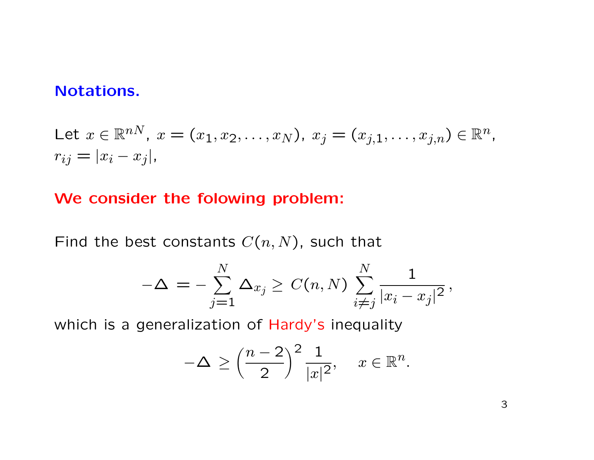## Notations.

Let 
$$
x \in \mathbb{R}^{nN}
$$
,  $x = (x_1, x_2, ..., x_N)$ ,  $x_j = (x_{j,1}, ..., x_{j,n}) \in \mathbb{R}^n$ ,  
\n $r_{ij} = |x_i - x_j|$ ,

## We consider the folowing problem:

Find the best constants  $C(n, N)$ , such that

$$
-\Delta\,=\,-\sum_{j=1}^N\Delta_{x_j}\geq\,C(n,N)\,\sum_{i\neq j}^N\frac{1}{|x_i-x_j|^2}\,,
$$

which is a generalization of Hardy's inequality

$$
-\Delta \ge \left(\frac{n-2}{2}\right)^2 \frac{1}{|x|^2}, \quad x \in \mathbb{R}^n.
$$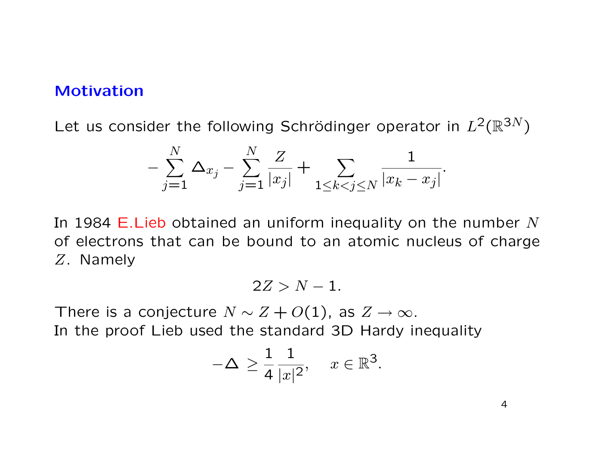#### Motivation

Let us consider the following Schrödinger operator in  $L^2(\mathbb{R}^{3N})$ 

$$
-\sum_{j=1}^{N} \Delta_{x_j} - \sum_{j=1}^{N} \frac{Z}{|x_j|} + \sum_{1 \le k < j \le N} \frac{1}{|x_k - x_j|}
$$

In 1984 E. Lieb obtained an uniform inequality on the number  $N$ of electrons that can be bound to an atomic nucleus of charge Z. Namely

$$
2Z > N-1.
$$

There is a conjecture  $N \sim Z + O(1)$ , as  $Z \to \infty$ . In the proof Lieb used the standard 3D Hardy inequality

$$
-\Delta \ge \frac{1}{4} \frac{1}{|x|^2}, \quad x \in \mathbb{R}^3.
$$

4

.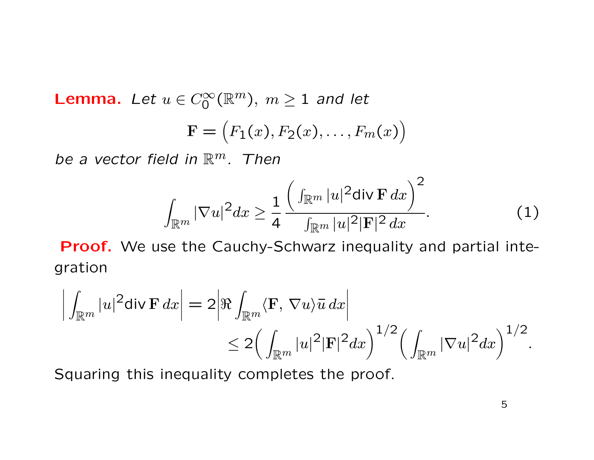**Lemma.** Let  $u \in C_0^{\infty}(\mathbb{R}^m)$ ,  $m \ge 1$  and let

$$
\mathbf{F} = (F_1(x), F_2(x), \dots, F_m(x))
$$

be a vector field in  $\mathbb{R}^m$ . Then

$$
\int_{\mathbb{R}^m} |\nabla u|^2 dx \ge \frac{1}{4} \frac{\left(\int_{\mathbb{R}^m} |u|^2 \operatorname{div} \mathbf{F} \, dx\right)^2}{\int_{\mathbb{R}^m} |u|^2 |\mathbf{F}|^2 \, dx}.
$$
 (1)

Proof. We use the Cauchy-Schwarz inequality and partial integration

$$
\left| \int_{\mathbb{R}^m} |u|^2 \operatorname{div} \mathbf{F} \, dx \right| = 2 \left| \Re \int_{\mathbb{R}^m} \langle \mathbf{F}, \nabla u \rangle \overline{u} \, dx \right|
$$
  

$$
\leq 2 \left( \int_{\mathbb{R}^m} |u|^2 |\mathbf{F}|^2 dx \right)^{1/2} \left( \int_{\mathbb{R}^m} |\nabla u|^2 dx \right)^{1/2}.
$$

Squaring this inequality completes the proof.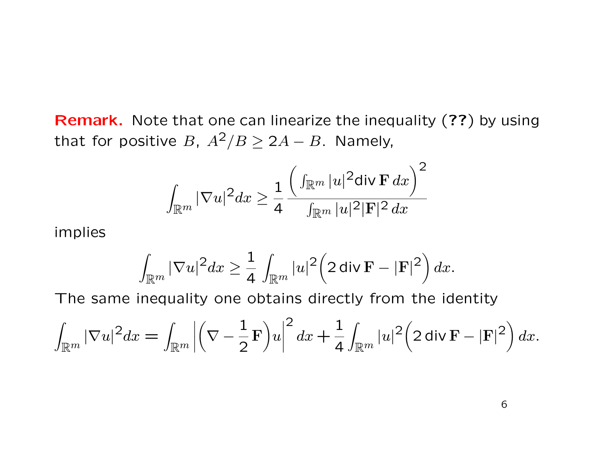Remark. Note that one can linearize the inequality (??) by using that for positive B,  $A^2/B \ge 2A - B$ . Namely,

$$
\int_{\mathbb{R}^m}|\nabla u|^2dx\geq \frac{1}{4}\frac{\Big(\int_{\mathbb{R}^m}|u|^2\text{div }\mathbf{F}\,dx\Big)^2}{\int_{\mathbb{R}^m}|u|^2|\mathbf{F}|^2\,dx}
$$

implies

$$
\int_{\mathbb{R}^m}|\nabla u|^2dx\geq \frac{1}{4}\int_{\mathbb{R}^m}|u|^2\Big(2\,\mathop{\mathrm{div}}\nolimits\mathbf{F}-|\mathbf{F}|^2\Big)\,dx.
$$

The same inequality one obtains directly from the identity

$$
\int_{\mathbb{R}^m} |\nabla u|^2 dx = \int_{\mathbb{R}^m} \left| \left( \nabla - \frac{1}{2} \mathbf{F} \right) u \right|^2 dx + \frac{1}{4} \int_{\mathbb{R}^m} |u|^2 \left( 2 \operatorname{div} \mathbf{F} - |\mathbf{F}|^2 \right) dx.
$$

6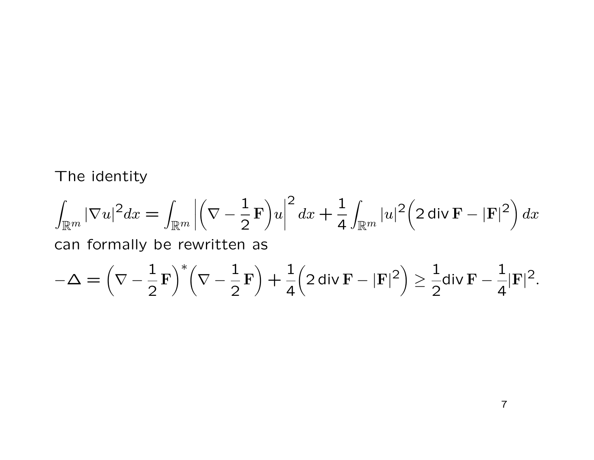The identity

$$
\int_{\mathbb{R}^m} |\nabla u|^2 dx = \int_{\mathbb{R}^m} \left| \left( \nabla - \frac{1}{2} \mathbf{F} \right) u \right|^2 dx + \frac{1}{4} \int_{\mathbb{R}^m} |u|^2 \left( 2 \operatorname{div} \mathbf{F} - |\mathbf{F}|^2 \right) dx
$$

can formally be rewritten as

$$
-\Delta=\Big(\nabla-\frac{1}{2}\,\mathrm{F}\Big)^*\Big(\nabla-\frac{1}{2}\,\mathrm{F}\Big)+\frac{1}{4}\Big(2\,\mathsf{div}\,\mathrm{F}-|\mathrm{F}|^2\Big)\geq \frac{1}{2}\mathsf{div}\,\mathrm{F}-\frac{1}{4}|\mathrm{F}|^2.
$$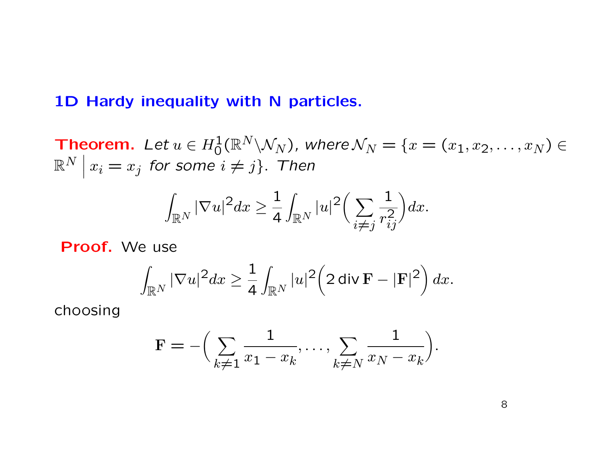## 1D Hardy inequality with N particles.

**Theorem.** Let  $u \in H_0^1(\mathbb{R}^N \backslash \mathcal{N}_N)$ , where  $\mathcal{N}_N = \{x = (x_1, x_2, \ldots, x_N) \in$  $\mathbb{R}^N$   $\vert$  $x_i = x_j$  for some  $i \neq j$ . Then

$$
\int_{\mathbb{R}^N}|\nabla u|^2dx\geq \frac{1}{4}\int_{\mathbb{R}^N}|u|^2\bigg(\sum_{i\neq j}\frac{1}{r_{ij}^2}\bigg)dx.
$$

Proof. We use

$$
\int_{\mathbb{R}^N} |\nabla u|^2 dx \geq \frac{1}{4} \int_{\mathbb{R}^N} |u|^2 \left(2 \operatorname{div} \mathbf{F} - |\mathbf{F}|^2\right) dx.
$$

choosing

$$
\mathbf{F} = -\Big(\sum_{k \neq 1} \frac{1}{x_1 - x_k}, \dots, \sum_{k \neq N} \frac{1}{x_N - x_k}\Big).
$$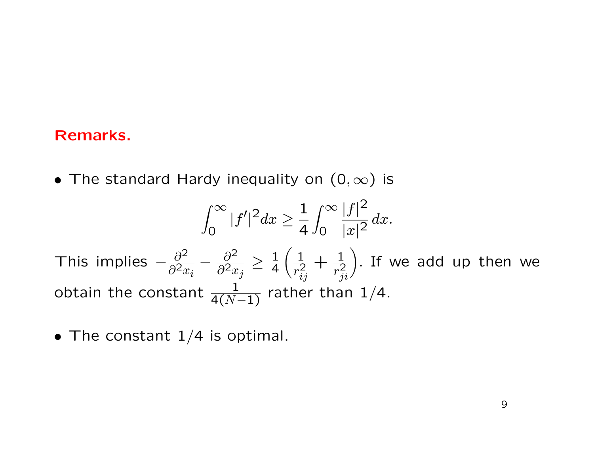## Remarks.

• The standard Hardy inequality on  $(0, \infty)$  is

$$
\int_0^\infty |f'|^2 dx \ge \frac{1}{4} \int_0^\infty \frac{|f|^2}{|x|^2} dx.
$$
  
This implies  $-\frac{\partial^2}{\partial^2 x_i} - \frac{\partial^2}{\partial^2 x_j} \ge \frac{1}{4} \left( \frac{1}{r_{ij}^2} + \frac{1}{r_{ji}^2} \right)$ . If we add up then we obtain the constant  $\frac{1}{4(N-1)}$  rather than 1/4.

• The constant  $1/4$  is optimal.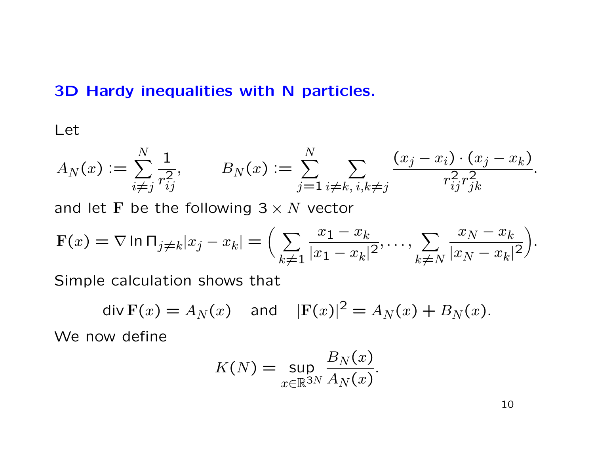## 3D Hardy inequalities with N particles.

Let

$$
A_N(x) := \sum_{i \neq j}^N \frac{1}{r_{ij}^2}, \qquad B_N(x) := \sum_{j=1}^N \sum_{i \neq k, i, k \neq j} \frac{(x_j - x_i) \cdot (x_j - x_k)}{r_{ij}^2 r_{jk}^2}.
$$

and let F be the following  $3 \times N$  vector

$$
\mathbf{F}(x) = \nabla \ln \Pi_{j \neq k} |x_j - x_k| = \Big( \sum_{k \neq 1} \frac{x_1 - x_k}{|x_1 - x_k|^2}, \dots, \sum_{k \neq N} \frac{x_N - x_k}{|x_N - x_k|^2} \Big).
$$

Simple calculation shows that

$$
\operatorname{div} \mathbf{F}(x) = A_N(x) \quad \text{and} \quad |\mathbf{F}(x)|^2 = A_N(x) + B_N(x).
$$

We now define

$$
K(N) = \sup_{x \in \mathbb{R}^{3N}} \frac{B_N(x)}{A_N(x)}.
$$

10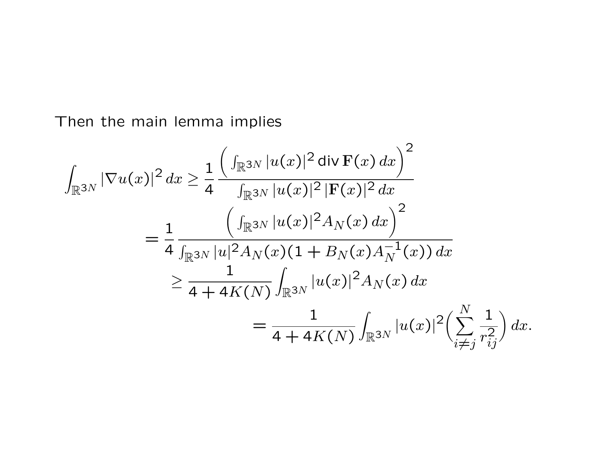Then the main lemma implies

$$
\int_{\mathbb{R}^{3N}} |\nabla u(x)|^2 dx \geq \frac{1}{4} \frac{\left( \int_{\mathbb{R}^{3N}} |u(x)|^2 \operatorname{div} \mathbf{F}(x) dx \right)^2}{\int_{\mathbb{R}^{3N}} |u(x)|^2 |\mathbf{F}(x)|^2 dx}
$$
\n
$$
= \frac{1}{4} \frac{\left( \int_{\mathbb{R}^{3N}} |u(x)|^2 A_N(x) dx \right)^2}{\int_{\mathbb{R}^{3N}} |u|^2 A_N(x) (1 + B_N(x) A_N^{-1}(x)) dx}
$$
\n
$$
\geq \frac{1}{4 + 4K(N)} \int_{\mathbb{R}^{3N}} |u(x)|^2 A_N(x) dx
$$
\n
$$
= \frac{1}{4 + 4K(N)} \int_{\mathbb{R}^{3N}} |u(x)|^2 \left( \sum_{i \neq j}^N \frac{1}{r_{ij}^2} \right) dx.
$$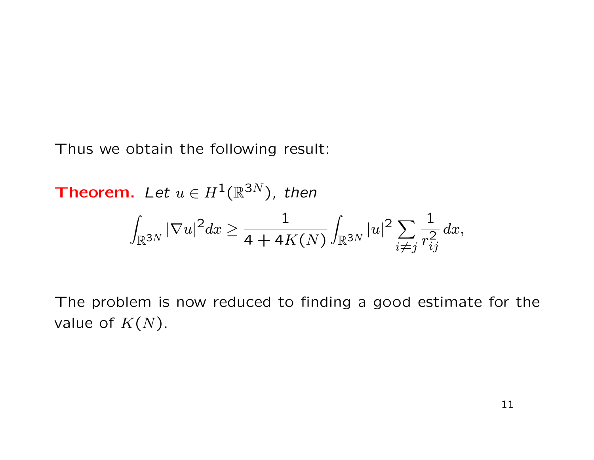Thus we obtain the following result:

**Theorem.** Let  $u \in H^1(\mathbb{R}^{3N})$ , then

$$
\int_{\mathbb{R}^{3N}}|\nabla u|^{2}dx \geq \frac{1}{4+4K(N)}\int_{\mathbb{R}^{3N}}|u|^{2}\sum_{i\neq j}\frac{1}{r_{ij}^{2}}dx,
$$

The problem is now reduced to finding a good estimate for the value of  $K(N)$ .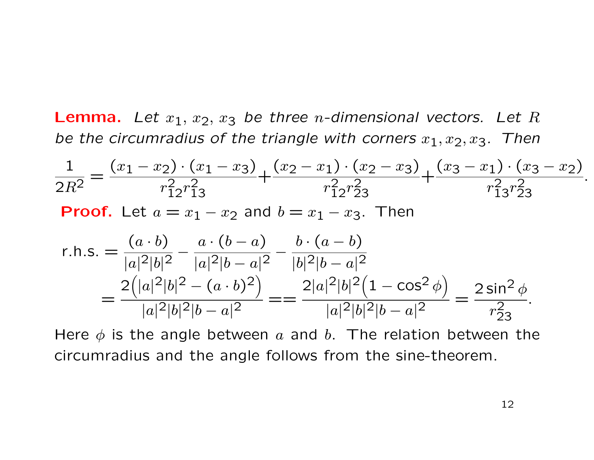**Lemma.** Let  $x_1, x_2, x_3$  be three *n*-dimensional vectors. Let R be the circumradius of the triangle with corners  $x_1, x_2, x_3$ . Then

$$
\frac{1}{2R^2} = \frac{(x_1 - x_2) \cdot (x_1 - x_3)}{r_{12}^2 r_{13}^2} + \frac{(x_2 - x_1) \cdot (x_2 - x_3)}{r_{12}^2 r_{23}^2} + \frac{(x_3 - x_1) \cdot (x_3 - x_2)}{r_{13}^2 r_{23}^2}.
$$
  
**Proof.** Let  $a = x_1 - x_2$  and  $b = x_1 - x_3$ . Then

r.h.s. = 
$$
\frac{(a \cdot b)}{|a|^2|b|^2} - \frac{a \cdot (b-a)}{|a|^2|b-a|^2} - \frac{b \cdot (a-b)}{|b|^2|b-a|^2}
$$
  
= 
$$
\frac{2(|a|^2|b|^2 - (a \cdot b)^2)}{|a|^2|b|^2|b-a|^2} = \frac{2|a|^2|b|^2(1 - \cos^2 \phi)}{|a|^2|b|^2|b-a|^2} = \frac{2\sin^2 \phi}{r_{23}^2}.
$$

Here  $\phi$  is the angle between a and b. The relation between the circumradius and the angle follows from the sine-theorem.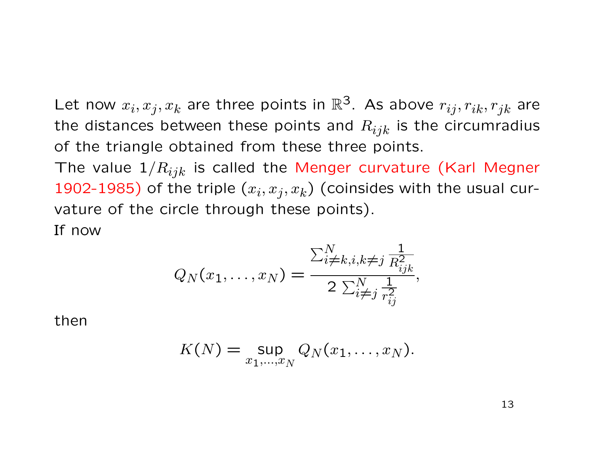Let now  $x_i, x_j, x_k$  are three points in  $\mathbb{R}^3$ . As above  $r_{ij}, r_{ik}, r_{jk}$  are the distances between these points and  $R_{ijk}$  is the circumradius of the triangle obtained from these three points.

The value  $1/R_{ijk}$  is called the Menger curvature (Karl Megner 1902-1985) of the triple  $(x_i, x_j, x_k)$  (coinsides with the usual curvature of the circle through these points). If now

$$
Q_N(x_1,...,x_N) = \frac{\sum_{i \neq k, i, k \neq j}^N \frac{1}{R_{ijk}^2}}{2 \sum_{i \neq j}^N \frac{1}{r_{ij}^2}},
$$

then

$$
K(N) = \sup_{x_1,\ldots,x_N} Q_N(x_1,\ldots,x_N).
$$

13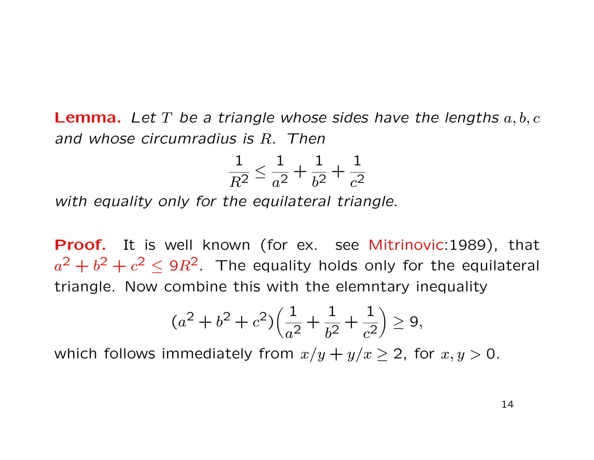**Lemma.** Let T be a triangle whose sides have the lengths  $a, b, c$ and whose circumradius is R. Then

$$
\frac{1}{R^2} \le \frac{1}{a^2} + \frac{1}{b^2} + \frac{1}{c^2}
$$

with equality only for the equilateral triangle.

Proof. It is well known (for ex. see Mitrinovic:1989), that  $a^2 + b^2 + c^2 \leq 9R^2$  The equality holds only for the equilateral triangle. Now combine this with the elemntary inequality

$$
(a2 + b2 + c2)\left(\frac{1}{a2} + \frac{1}{b2} + \frac{1}{c2}\right) \ge 9,
$$

which follows immediately from  $x/y + y/x \ge 2$ , for  $x, y > 0$ .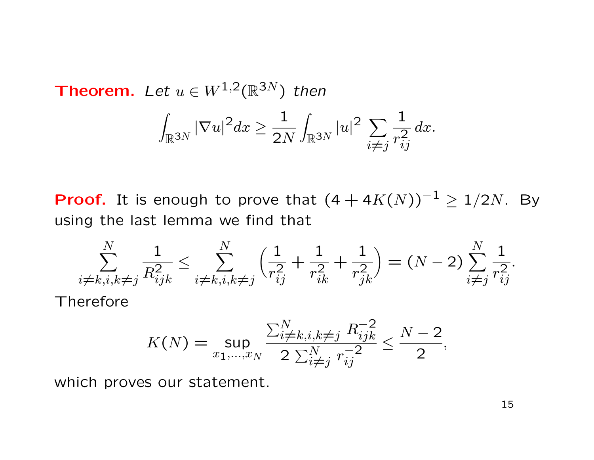#### **Theorem.** Let  $u \in W^{1,2}(\mathbb{R}^{3N})$  then Z  $\mathbb{R}^{3N}$  $|\nabla u|^2 dx \ge$ 1 2N Z  $\mathbb{R}^{3N}$  $|u|^2$   $\sum$  $i \neq j$ 1  $\overline{r_{i}^{2}}$  $\it{ij}$  $dx.$

**Proof.** It is enough to prove that  $(4 + 4K(N))^{-1} \ge 1/2N$ . By using the last lemma we find that

$$
\sum_{\substack{i \neq k, i, k \neq j}}^N \frac{1}{R_{ijk}^2} \le \sum_{\substack{i \neq k, i, k \neq j}}^N \left( \frac{1}{r_{ij}^2} + \frac{1}{r_{ik}^2} + \frac{1}{r_{jk}^2} \right) = (N - 2) \sum_{\substack{i \neq j}}^N \frac{1}{r_{ij}^2}.
$$
Therefore

$$
K(N) = \sup_{x_1, \dots, x_N} \frac{\sum_{i \neq k, i, k \neq j}^N R_{ijk}^{-2}}{2 \sum_{i \neq j}^N r_{ij}^{-2}} \le \frac{N-2}{2},
$$

which proves our statement.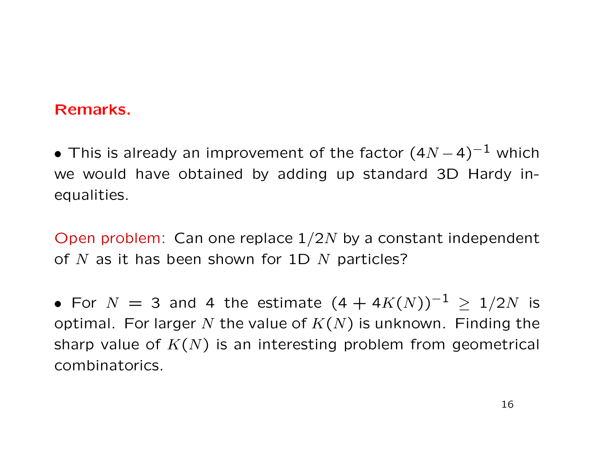## Remarks.

• This is already an improvement of the factor  $(4N-4)^{-1}$  which we would have obtained by adding up standard 3D Hardy inequalities.

Open problem: Can one replace  $1/2N$  by a constant independent of  $N$  as it has been shown for 1D  $N$  particles?

• For  $N = 3$  and 4 the estimate  $(4 + 4K(N))^{-1} \ge 1/2N$  is optimal. For larger N the value of  $K(N)$  is unknown. Finding the sharp value of  $K(N)$  is an interesting problem from geometrical combinatorics.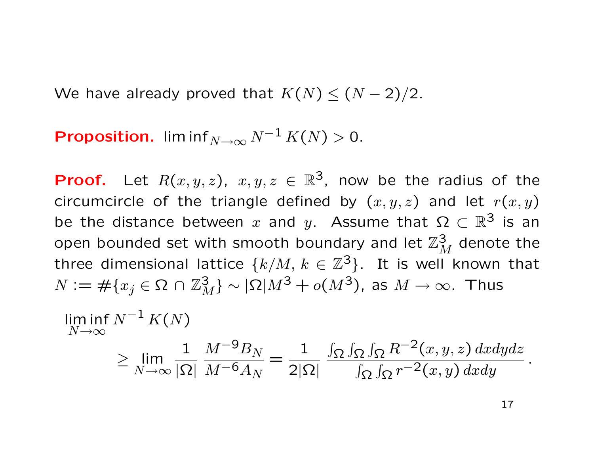We have already proved that  $K(N) \leq (N-2)/2$ .

**Proposition.** lim inf<sub>N→∞</sub>  $N^{-1} K(N) > 0$ .

**Proof.** Let  $R(x, y, z)$ ,  $x, y, z \in \mathbb{R}^3$ , now be the radius of the circumcircle of the triangle defined by  $(x, y, z)$  and let  $r(x, y)$ be the distance between x and y. Assume that  $\Omega \subset \mathbb{R}^3$  is an open bounded set with smooth boundary and let  $\mathbb{Z}_M^3$  denote the three dimensional lattice  $\{k/M, k \in \mathbb{Z}^3\}$ . It is well known that  $N \mathrel{\mathop:}= \#\{x_j \in \Omega \, \cap \, \mathbb{Z}^3_M\} \sim |\Omega| M^3 + o(M^3)$ , as  $M \to \infty.$  Thus

$$
\liminf_{N \to \infty} N^{-1} K(N)
$$
\n
$$
\geq \lim_{N \to \infty} \frac{1}{|\Omega|} \frac{M^{-9} B_N}{M^{-6} A_N} = \frac{1}{2|\Omega|} \frac{\int_{\Omega} \int_{\Omega} \int_{\Omega} R^{-2}(x, y, z) dx dy dz}{\int_{\Omega} \int_{\Omega} r^{-2}(x, y) dx dy}.
$$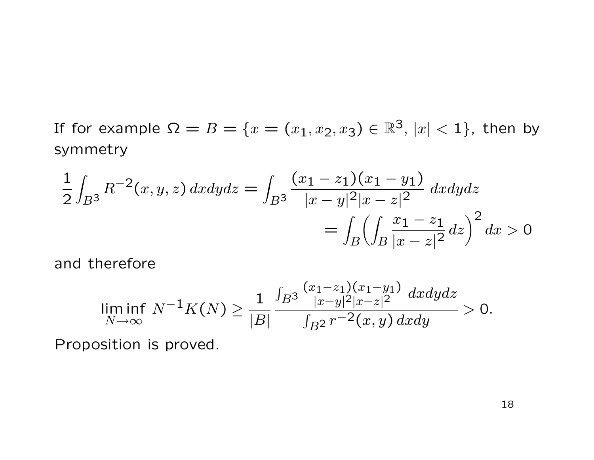If for example  $\Omega=B=\{x=(x_1,x_2,x_3)\in \mathbb{R}^3,\, |x|< 1\},$  then by symmetry

$$
\frac{1}{2} \int_{B^3} R^{-2}(x, y, z) \, dx dy dz = \int_{B^3} \frac{(x_1 - z_1)(x_1 - y_1)}{|x - y|^2 |x - z|^2} \, dx dy dz
$$
\n
$$
= \int_{B} \left( \int_{B} \frac{x_1 - z_1}{|x - z|^2} \, dz \right)^2 dx > 0
$$

and therefore

$$
\liminf_{N \to \infty} N^{-1} K(N) \ge \frac{1}{|B|} \frac{\int_{B^3} \frac{(x_1 - z_1)(x_1 - y_1)}{|x - y|^2 |x - z|^2} dxdydz}{\int_{B^2} r^{-2}(x, y) dxdy} > 0.
$$

Proposition is proved.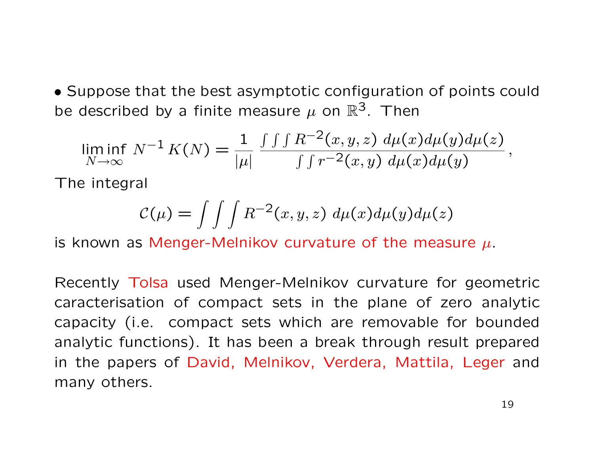• Suppose that the best asymptotic configuration of points could be described by a finite measure  $\mu$  on  $\mathbb{R}^3$ . Then

$$
\liminf_{N \to \infty} N^{-1} K(N) = \frac{1}{|\mu|} \frac{\int \int \int R^{-2}(x, y, z) \, d\mu(x) d\mu(y) d\mu(z)}{\int \int r^{-2}(x, y) \, d\mu(x) d\mu(y)},
$$

The integral

$$
\mathcal{C}(\mu) = \int \int \int R^{-2}(x, y, z) d\mu(x) d\mu(y) d\mu(z)
$$

is known as Menger-Melnikov curvature of the measure  $\mu$ .

Recently Tolsa used Menger-Melnikov curvature for geometric caracterisation of compact sets in the plane of zero analytic capacity (i.e. compact sets which are removable for bounded analytic functions). It has been a break through result prepared in the papers of David, Melnikov, Verdera, Mattila, Leger and many others.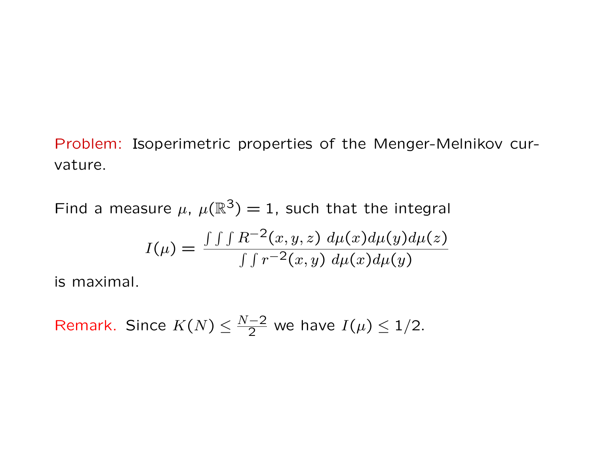Problem: Isoperimetric properties of the Menger-Melnikov curvature.

Find a measure  $\mu$ ,  $\mu(\mathbb{R}^3) = 1$ , such that the integral

$$
I(\mu) = \frac{\int \int \int R^{-2}(x, y, z) d\mu(x) d\mu(y) d\mu(z)}{\int \int r^{-2}(x, y) d\mu(x) d\mu(y)}
$$

is maximal.

Remark. Since  $K(N) \leq \frac{N-2}{2}$  we have  $I(\mu) \leq 1/2$ .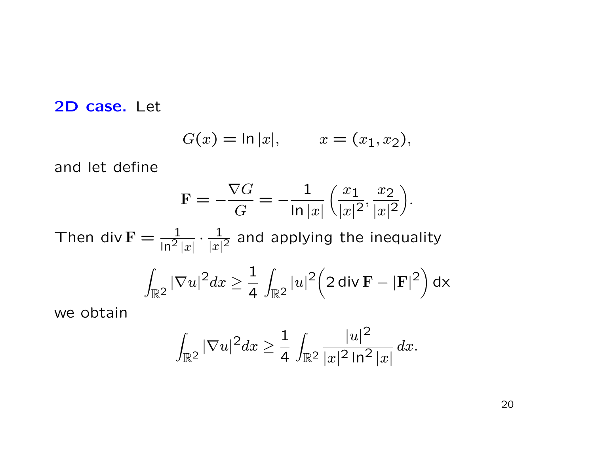## 2D case. Let

$$
G(x) = \ln |x|,
$$
  $x = (x_1, x_2),$ 

and let define

$$
\mathbf{F} = -\frac{\nabla G}{G} = -\frac{1}{\ln|x|} \left( \frac{x_1}{|x|^2}, \frac{x_2}{|x|^2} \right).
$$

Then div  $F = \frac{1}{12}$  $\sqrt{\ln^2 |x|}$  $\cdot \frac{1}{|n|}$  $\frac{1}{|x|^2}$  and applying the inequality

$$
\int_{\mathbb{R}^2} |\nabla u|^2 dx \ge \frac{1}{4} \int_{\mathbb{R}^2} |u|^2 \left(2 \operatorname{div} \mathbf{F} - |\mathbf{F}|^2\right) dx
$$

we obtain

$$
\int_{\mathbb{R}^2} |\nabla u|^2 dx \ge \frac{1}{4} \int_{\mathbb{R}^2} \frac{|u|^2}{|x|^2 \ln^2 |x|} dx.
$$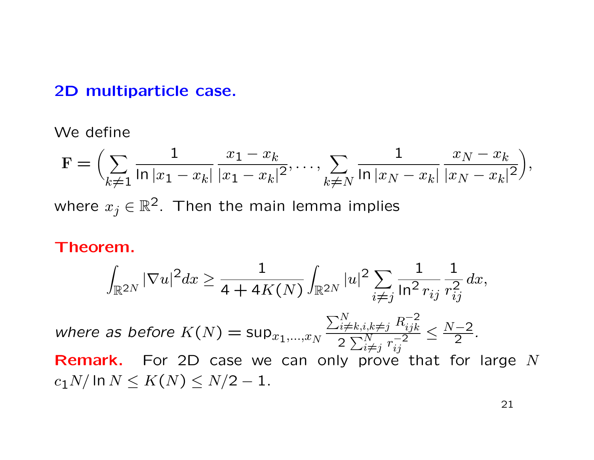#### 2D multiparticle case.

We define

$$
\mathbf{F} = \left(\sum_{k \neq 1} \frac{1}{|\ln |x_1 - x_k|} \frac{x_1 - x_k}{|x_1 - x_k|^2}, \dots, \sum_{k \neq N} \frac{1}{|\ln |x_N - x_k|} \frac{x_N - x_k}{|x_N - x_k|^2}\right),
$$
  
where  $x_j \in \mathbb{R}^2$ . Then the main lemma implies

Theorem.

$$
\int_{\mathbb{R}^{2N}} |\nabla u|^2 dx \ge \frac{1}{4 + 4K(N)} \int_{\mathbb{R}^{2N}} |u|^2 \sum_{i \ne j} \frac{1}{\ln^2 r_{ij}} \frac{1}{r_{ij}^2} dx,
$$

where as before  $K(N) = \sup_{x_1,\dots,x_N}$  $\sum_{i \neq k, i, k \neq j}^{N} R_{ijk}^{-2}$  $ijk \$ 2  $\sum_{i \neq j}^{N} r_{ij}^{-2}$  $ij$  $\leq \frac{N-2}{2}$ .

**Remark.** For 2D case we can only prove that for large  $N$  $c_1N/\ln N \leq K(N) \leq N/2 - 1$ .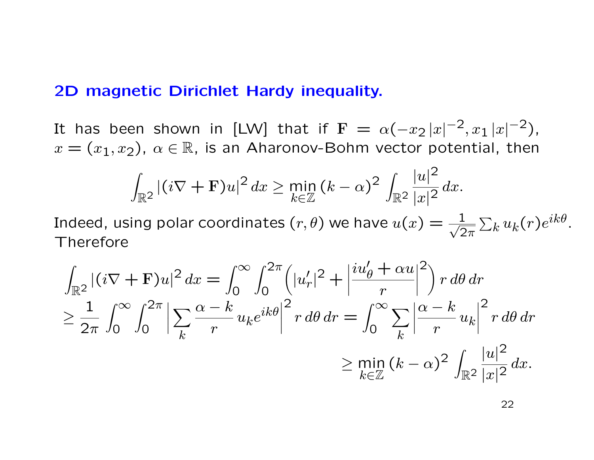## 2D magnetic Dirichlet Hardy inequality.

It has been shown in [LW] that if  $\mathbf{F} \, = \, \alpha(-x_2 \, |x|^{-2}, x_1 \, |x|^{-2}),$  $x = (x_1, x_2), \alpha \in \mathbb{R}$ , is an Aharonov-Bohm vector potential, then

$$
\int_{\mathbb{R}^2} |(i\nabla + \mathbf{F})u|^2 dx \ge \min_{k \in \mathbb{Z}} (k - \alpha)^2 \int_{\mathbb{R}^2} \frac{|u|^2}{|x|^2} dx.
$$

Indeed, using polar coordinates  $(r, \theta)$  we have  $u(x) = \frac{1}{\sqrt{2}}$  $2\pi$  $\sum_k u_k(r) e^{ik\theta}.$ Therefore

$$
\int_{\mathbb{R}^2} |(i\nabla + \mathbf{F})u|^2 dx = \int_0^\infty \int_0^{2\pi} \left(|u'_r|^2 + \left|\frac{iu'_\theta + \alpha u}{r}\right|^2\right) r d\theta dr
$$
  
\n
$$
\geq \frac{1}{2\pi} \int_0^\infty \int_0^{2\pi} \left|\sum_k \frac{\alpha - k}{r} u_k e^{ik\theta}\right|^2 r d\theta dr = \int_0^\infty \sum_k \left|\frac{\alpha - k}{r} u_k\right|^2 r d\theta dr
$$
  
\n
$$
\geq \min_{k \in \mathbb{Z}} (k - \alpha)^2 \int_{\mathbb{R}^2} \frac{|u|^2}{|x|^2} dx.
$$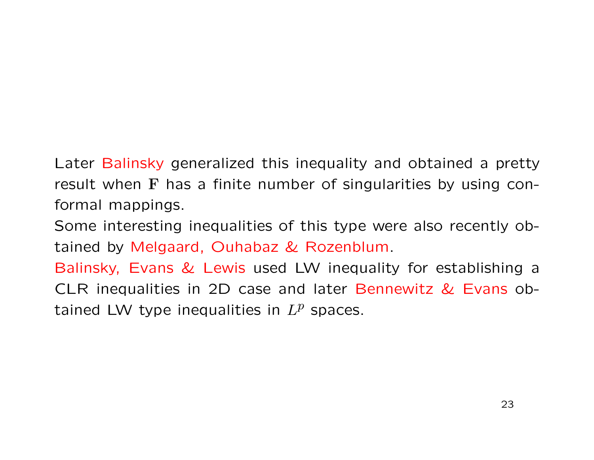Later Balinsky generalized this inequality and obtained a pretty result when  $F$  has a finite number of singularities by using conformal mappings.

Some interesting inequalities of this type were also recently obtained by Melgaard, Ouhabaz & Rozenblum.

Balinsky, Evans & Lewis used LW inequality for establishing a CLR inequalities in 2D case and later Bennewitz & Evans obtained LW type inequalities in  $L^p$  spaces.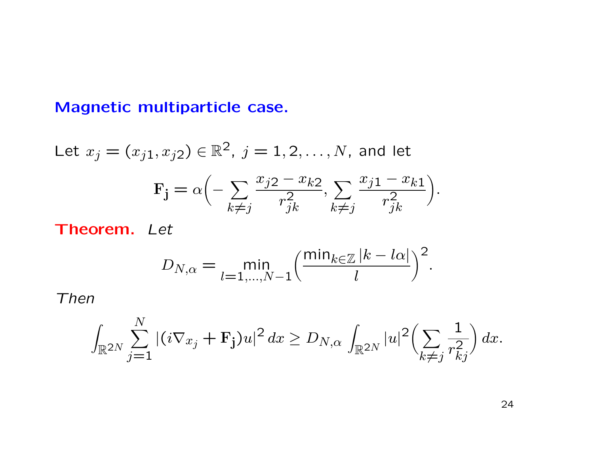# Magnetic multiparticle case.

Let 
$$
x_j = (x_{j1}, x_{j2}) \in \mathbb{R}^2
$$
,  $j = 1, 2, ..., N$ , and let  
\n
$$
\mathbf{F_j} = \alpha \Big( -\sum_{k \neq j} \frac{x_{j2} - x_{k2}}{r_{jk}^2}, \sum_{k \neq j} \frac{x_{j1} - x_{k1}}{r_{jk}^2} \Big).
$$

Theorem. Let

$$
D_{N,\alpha} = \min_{l=1,\dots,N-1} \left( \frac{\min_{k \in \mathbb{Z}} |k - l\alpha|}{l} \right)^2.
$$

Then

$$
\int_{\mathbb{R}^{2N}} \sum_{j=1}^N |(i\nabla_{x_j} + \mathbf{F}_j)u|^2 dx \ge D_{N,\alpha} \int_{\mathbb{R}^{2N}} |u|^2 \left(\sum_{k \neq j} \frac{1}{r_{kj}^2}\right) dx.
$$

24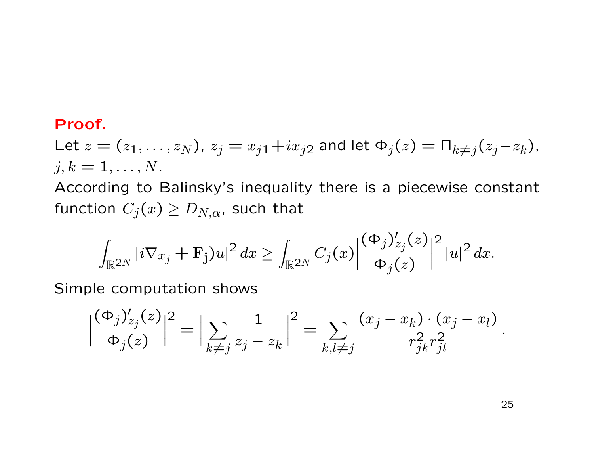#### Proof.

Let  $z = (z_1, ..., z_N)$ ,  $z_j = x_{j1} + ix_{j2}$  and let  $\Phi_j(z) = \Pi_{k \neq j}(z_j - z_k)$ ,  $j, k = 1, \ldots, N$ .

According to Balinsky's inequality there is a piecewise constant function  $C_j(x) \ge D_{N,\alpha}$ , such that

$$
\int_{\mathbb{R}^{2N}} |i \nabla x_j + \mathbf{F}_j u|^2 dx \ge \int_{\mathbb{R}^{2N}} C_j(x) \left| \frac{(\Phi_j)'_{z_j}(z)}{\Phi_j(z)} \right|^2 |u|^2 dx.
$$

Simple computation shows

$$
\left|\frac{(\Phi_j)'_{z_j}(z)}{\Phi_j(z)}\right|^2 = \left|\sum_{k \neq j} \frac{1}{z_j - z_k}\right|^2 = \sum_{k,l \neq j} \frac{(x_j - x_k) \cdot (x_j - x_l)}{r_{jk}^2 r_{jl}^2}.
$$

25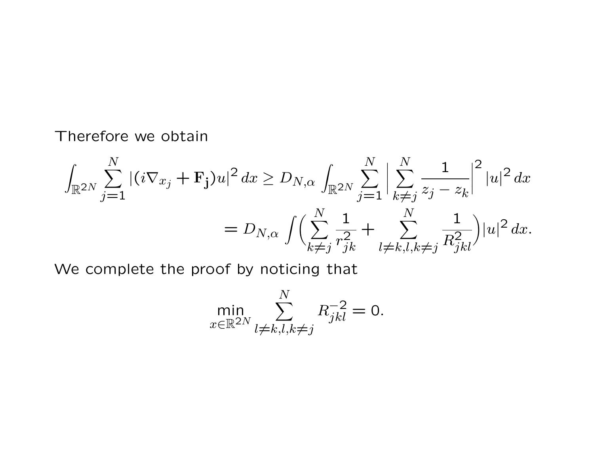Therefore we obtain

$$
\int_{\mathbb{R}^{2N}} \sum_{j=1}^{N} |(i\nabla_{x_j} + \mathbf{F}_j)u|^2 dx \ge D_{N,\alpha} \int_{\mathbb{R}^{2N}} \sum_{j=1}^{N} \left| \sum_{k \neq j}^{N} \frac{1}{z_j - z_k} \right|^2 |u|^2 dx
$$
  
=  $D_{N,\alpha} \int \Biggl( \sum_{k \neq j}^{N} \frac{1}{r_{jk}^2} + \sum_{l \neq k,l,k \neq j}^{N} \frac{1}{R_{jkl}^2} \Biggr) |u|^2 dx.$ 

We complete the proof by noticing that

$$
\min_{x \in \mathbb{R}^{2N}} \sum_{l \neq k, l, k \neq j}^{N} R_{jkl}^{-2} = 0.
$$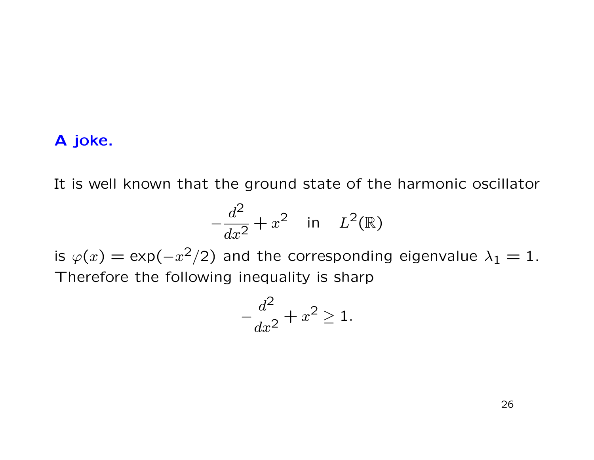## A joke.

It is well known that the ground state of the harmonic oscillator

$$
-\frac{d^2}{dx^2} + x^2 \quad \text{in} \quad L^2(\mathbb{R})
$$

is  $\varphi(x) = \exp(-x^2/2)$  and the corresponding eigenvalue  $\lambda_1 = 1$ . Therefore the following inequality is sharp

$$
-\frac{d^2}{dx^2} + x^2 \ge 1.
$$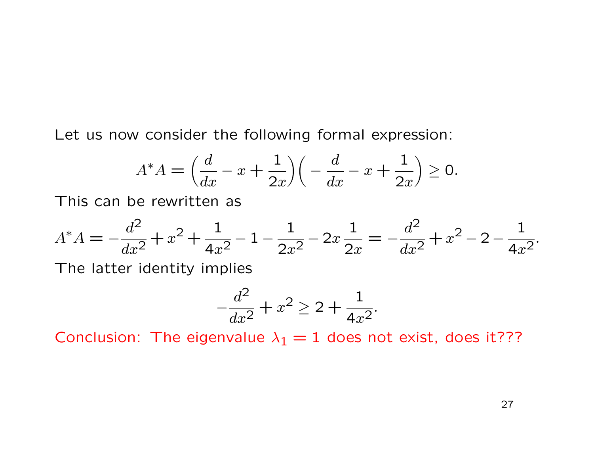Let us now consider the following formal expression:

$$
A^*A = \left(\frac{d}{dx} - x + \frac{1}{2x}\right)\left(-\frac{d}{dx} - x + \frac{1}{2x}\right) \ge 0.
$$

This can be rewritten as

$$
A^*A = -\frac{d^2}{dx^2} + x^2 + \frac{1}{4x^2} - 1 - \frac{1}{2x^2} - 2x\frac{1}{2x} = -\frac{d^2}{dx^2} + x^2 - 2 - \frac{1}{4x^2}.
$$

The latter identity implies

$$
-\frac{d^2}{dx^2} + x^2 \ge 2 + \frac{1}{4x^2}.
$$

Conclusion: The eigenvalue  $\lambda_1 = 1$  does not exist, does it???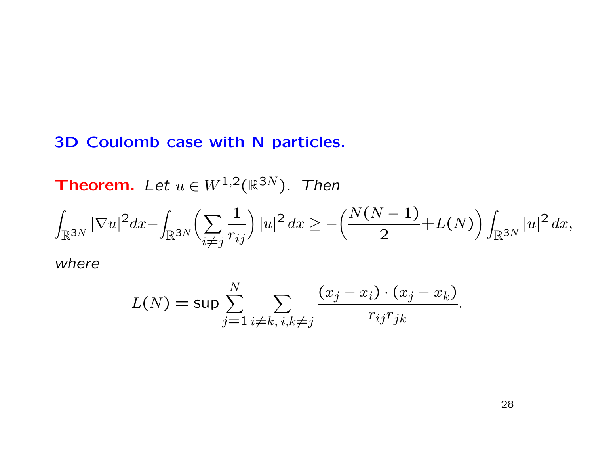## 3D Coulomb case with N particles.

**Theorem.** Let  $u \in W^{1,2}(\mathbb{R}^{3N})$ . Then

$$
\int_{\mathbb{R}^{3N}}|\nabla u|^{2}dx-\int_{\mathbb{R}^{3N}}\left(\sum_{i\neq j}\frac{1}{r_{ij}}\right)|u|^{2} dx\geq -\left(\frac{N(N-1)}{2}+L(N)\right)\int_{\mathbb{R}^{3N}}|u|^{2} dx,
$$

where

$$
L(N) = \sup \sum_{j=1}^{N} \sum_{i \neq k, i, k \neq j} \frac{(x_j - x_i) \cdot (x_j - x_k)}{r_{ij} r_{jk}}
$$

.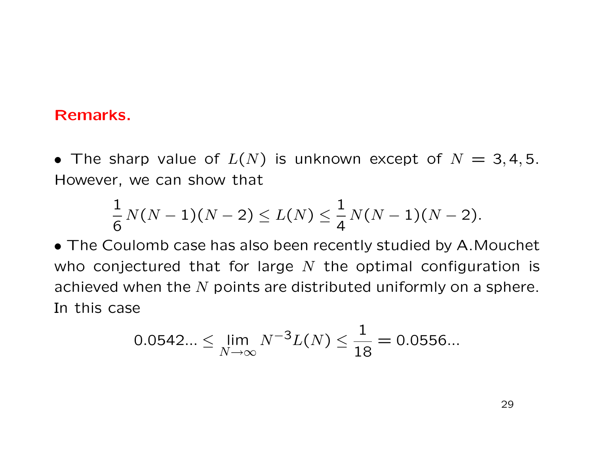## Remarks.

• The sharp value of  $L(N)$  is unknown except of  $N = 3, 4, 5$ . However, we can show that

$$
\frac{1}{6} \, N(N-1)(N-2) \le L(N) \le \frac{1}{4} \, N(N-1)(N-2).
$$

• The Coulomb case has also been recently studied by A.Mouchet who conjectured that for large  $N$  the optimal configuration is achieved when the  $N$  points are distributed uniformly on a sphere. In this case

$$
0.0542... \le \lim_{N \to \infty} N^{-3} L(N) \le \frac{1}{18} = 0.0556...
$$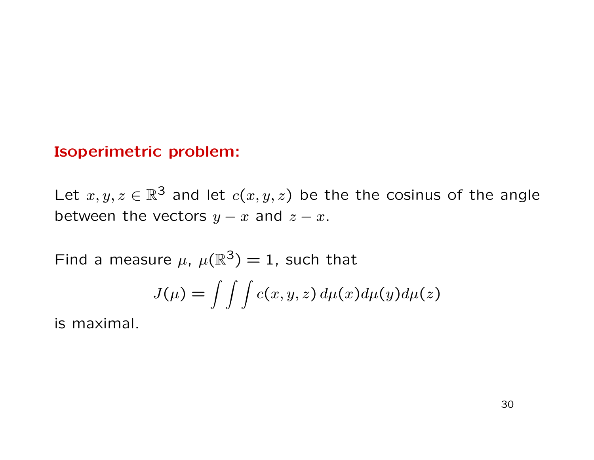## Isoperimetric problem:

Let  $x, y, z \in \mathbb{R}^3$  and let  $c(x, y, z)$  be the the cosinus of the angle between the vectors  $y - x$  and  $z - x$ .

Find a measure  $\mu$ ,  $\mu(\mathbb{R}^3) = 1$ , such that

$$
J(\mu) = \int \int \int c(x, y, z) d\mu(x) d\mu(y) d\mu(z)
$$

is maximal.